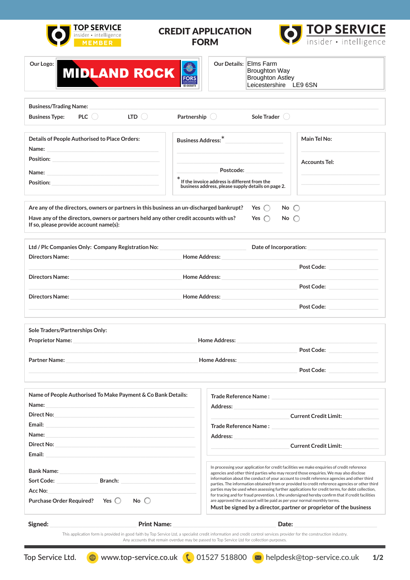

## CREDIT APPLICATION FORM





#### Our Details: Elms Farm Broughton Way Broughton Astley Leicestershire LE9 6SN

| <b>Business/Trading Name:</b>                 |            |                          |             |              |  |
|-----------------------------------------------|------------|--------------------------|-------------|--------------|--|
| <b>Business Type:</b>                         | <b>PLC</b> | LTD.                     | Partnership | Sole Trader  |  |
|                                               |            |                          |             |              |  |
| Details of People Authorised to Place Orders: |            | <b>Business Address:</b> |             | Main Tel No: |  |

| Name:     |                                                                                                                             |                      |
|-----------|-----------------------------------------------------------------------------------------------------------------------------|----------------------|
| Position: |                                                                                                                             | <b>Accounts Tel:</b> |
| Name:     | Postcode:                                                                                                                   |                      |
| Position: | $\check{\phantom{\phi}}$ If the invoice address is different from the<br>business address, please supply details on page 2. |                      |
|           |                                                                                                                             |                      |

| Are any of the directors, owners or partners in this business an un-discharged bankrupt? Ses $\bigcap$                            |               | No $\subset$ |
|-----------------------------------------------------------------------------------------------------------------------------------|---------------|--------------|
| Have any of the directors, owners or partners held any other credit accounts with us?<br>If so, please provide account $name(s):$ | Yes $\bigcap$ | $No \cap$    |

| Ltd / Plc Companies Only: Company Registration No:                                                                                                                                                                             |                      | Date of Incorporation: National Contract of Incorporation: |  |
|--------------------------------------------------------------------------------------------------------------------------------------------------------------------------------------------------------------------------------|----------------------|------------------------------------------------------------|--|
|                                                                                                                                                                                                                                | <b>Home Address:</b> |                                                            |  |
|                                                                                                                                                                                                                                |                      | Post Code: New York Code: New York Code:                   |  |
| Directors Name: Name and Contract of the Contract of the Contract of the Contract of the Contract of the Contract of the Contract of the Contract of the Contract of the Contract of the Contract of the Contract of the Contr | <b>Home Address:</b> |                                                            |  |
|                                                                                                                                                                                                                                |                      | Post Code: <u>______________________</u>                   |  |
| Directors Name: Name and Directors Name and Directors Name and Directors Name and Directors of the U                                                                                                                           | <b>Home Address:</b> |                                                            |  |
|                                                                                                                                                                                                                                |                      | Post Code: <u>Communication</u>                            |  |
|                                                                                                                                                                                                                                |                      |                                                            |  |
| <b>Sole Traders/Partnerships Only:</b>                                                                                                                                                                                         |                      |                                                            |  |

| <b>Proprietor Name:</b> | <b>Home Address:</b> |                   |
|-------------------------|----------------------|-------------------|
|                         |                      | Post Code:        |
| <b>Partner Name:</b>    | <b>Home Address:</b> |                   |
|                         |                      | <b>Post Code:</b> |

| Name of People Authorised To Make Payment & Co Bank Details:                                                                                                                                                                            | Trade Reference Name :                                                                                                                                                                                                                                                                                                                                                                                                                                                                                                                                                                                                                                                                                                                       |
|-----------------------------------------------------------------------------------------------------------------------------------------------------------------------------------------------------------------------------------------|----------------------------------------------------------------------------------------------------------------------------------------------------------------------------------------------------------------------------------------------------------------------------------------------------------------------------------------------------------------------------------------------------------------------------------------------------------------------------------------------------------------------------------------------------------------------------------------------------------------------------------------------------------------------------------------------------------------------------------------------|
| Name:<br>the control of the control of the control of the control of the control of the control of                                                                                                                                      | <b>Address:</b>                                                                                                                                                                                                                                                                                                                                                                                                                                                                                                                                                                                                                                                                                                                              |
| Direct No:                                                                                                                                                                                                                              | <b>Current Credit Limit:</b>                                                                                                                                                                                                                                                                                                                                                                                                                                                                                                                                                                                                                                                                                                                 |
| Email:<br>the control of the control of the control of the control of the control of the control of the control of the control of the control of the control of the control of the control of the control of the control of the control | Trade Reference Name:                                                                                                                                                                                                                                                                                                                                                                                                                                                                                                                                                                                                                                                                                                                        |
| Name:                                                                                                                                                                                                                                   | <b>Address:</b>                                                                                                                                                                                                                                                                                                                                                                                                                                                                                                                                                                                                                                                                                                                              |
| Direct No:                                                                                                                                                                                                                              | <b>Current Credit Limit:</b>                                                                                                                                                                                                                                                                                                                                                                                                                                                                                                                                                                                                                                                                                                                 |
| Email:                                                                                                                                                                                                                                  |                                                                                                                                                                                                                                                                                                                                                                                                                                                                                                                                                                                                                                                                                                                                              |
| <b>Bank Name:</b><br><b>Sort Code:</b><br><b>Branch:</b><br>Acc No:<br>No $\bigcap$<br>Yes $\bigcirc$<br><b>Purchase Order Required?</b>                                                                                                | In processing your application for credit facilities we make enquiries of credit reference<br>agencies and other third parties who may record those enquiries. We may also disclose<br>information about the conduct of your account to credit reference agencies and other third<br>parties. The information obtained from or provided to credit reference agencies or other third<br>parties may be used when assessing further applications for credit terms, for debt collection,<br>for tracing and for fraud prevention. I, the undersigned hereby confirm that if credit facilities<br>are approved the account will be paid as per your normal monthly terms.<br>Must be signed by a director, partner or proprietor of the business |
| Signed:<br><b>Print Name:</b>                                                                                                                                                                                                           | Date:                                                                                                                                                                                                                                                                                                                                                                                                                                                                                                                                                                                                                                                                                                                                        |
|                                                                                                                                                                                                                                         | This application form is provided in good faith by Top Service Ltd, a specialist credit information and credit control services provider for the construction industry.                                                                                                                                                                                                                                                                                                                                                                                                                                                                                                                                                                      |

Any accounts that remain overdue may be passed to Top Service Ltd for collection purposes.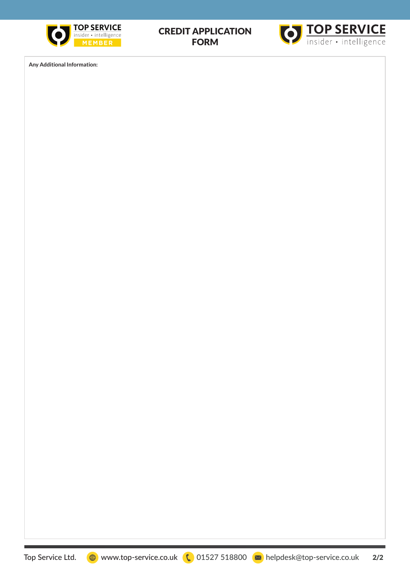

## CREDIT APPLICATION FORM



**Any Additional Information:**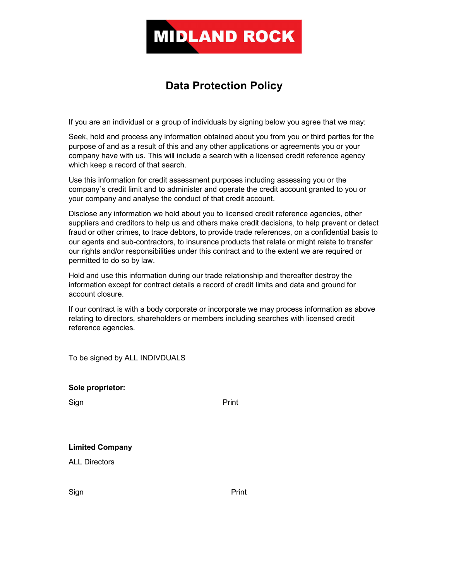

# Data Protection Policy

If you are an individual or a group of individuals by signing below you agree that we may:

Seek, hold and process any information obtained about you from you or third parties for the purpose of and as a result of this and any other applications or agreements you or your company have with us. This will include a search with a licensed credit reference agency which keep a record of that search.

Use this information for credit assessment purposes including assessing you or the company`s credit limit and to administer and operate the credit account granted to you or your company and analyse the conduct of that credit account.

Disclose any information we hold about you to licensed credit reference agencies, other suppliers and creditors to help us and others make credit decisions, to help prevent or detect fraud or other crimes, to trace debtors, to provide trade references, on a confidential basis to our agents and sub-contractors, to insurance products that relate or might relate to transfer our rights and/or responsibilities under this contract and to the extent we are required or permitted to do so by law.

Hold and use this information during our trade relationship and thereafter destroy the information except for contract details a record of credit limits and data and ground for account closure.

If our contract is with a body corporate or incorporate we may process information as above relating to directors, shareholders or members including searches with licensed credit reference agencies.

To be signed by ALL INDIVDUALS

| Sole proprietor: |
|------------------|

Sign **Print** 

|  | <b>Limited Company</b> |
|--|------------------------|
|--|------------------------|

ALL Directors

Sign **Print**